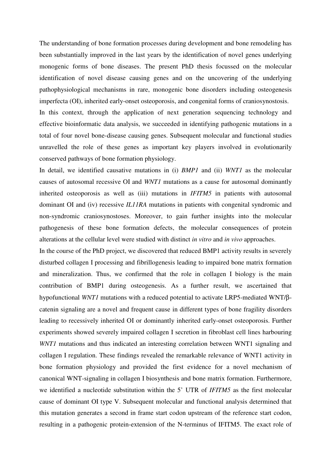The understanding of bone formation processes during development and bone remodeling has been substantially improved in the last years by the identification of novel genes underlying monogenic forms of bone diseases. The present PhD thesis focussed on the molecular identification of novel disease causing genes and on the uncovering of the underlying pathophysiological mechanisms in rare, monogenic bone disorders including osteogenesis imperfecta (OI), inherited early-onset osteoporosis, and congenital forms of craniosynostosis.

In this context, through the application of next generation sequencing technology and effective bioinformatic data analysis, we succeeded in identifying pathogenic mutations in a total of four novel bone-disease causing genes. Subsequent molecular and functional studies unravelled the role of these genes as important key players involved in evolutionarily conserved pathways of bone formation physiology.

In detail, we identified causative mutations in (i) *BMP1* and (ii) *WNT1* as the molecular causes of autosomal recessive OI and *WNT1* mutations as a cause for autosomal dominantly inherited osteoporosis as well as (iii) mutations in *IFITM5* in patients with autosomal dominant OI and (iv) recessive *IL11RA* mutations in patients with congenital syndromic and non-syndromic craniosynostoses. Moreover, to gain further insights into the molecular pathogenesis of these bone formation defects, the molecular consequences of protein alterations at the cellular level were studied with distinct *in vitro* and *in vivo* approaches.

In the course of the PhD project, we discovered that reduced BMP1 activity results in severely disturbed collagen I processing and fibrillogenesis leading to impaired bone matrix formation and mineralization. Thus, we confirmed that the role in collagen I biology is the main contribution of BMP1 during osteogenesis. As a further result, we ascertained that hypofunctional *WNT1* mutations with a reduced potential to activate LRP5-mediated WNT/βcatenin signaling are a novel and frequent cause in different types of bone fragility disorders leading to recessively inherited OI or dominantly inherited early-onset osteoporosis. Further experiments showed severely impaired collagen I secretion in fibroblast cell lines harbouring *WNT1* mutations and thus indicated an interesting correlation between WNT1 signaling and collagen I regulation. These findings revealed the remarkable relevance of WNT1 activity in bone formation physiology and provided the first evidence for a novel mechanism of canonical WNT-signaling in collagen I biosynthesis and bone matrix formation. Furthermore, we identified a nucleotide substitution within the 5' UTR of *IFITM5* as the first molecular cause of dominant OI type V. Subsequent molecular and functional analysis determined that this mutation generates a second in frame start codon upstream of the reference start codon, resulting in a pathogenic protein-extension of the N-terminus of IFITM5. The exact role of